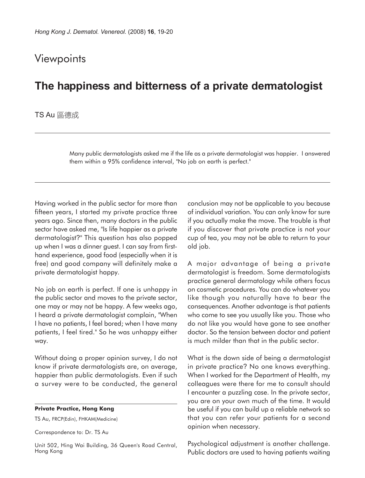## **Viewpoints**

## **The happiness and bitterness of a private dermatologist**

## TS Au 區德成

Many public dermatologists asked me if the life as a private dermatologist was happier. I answered them within a 95% confidence interval, "No job on earth is perfect."

Having worked in the public sector for more than fifteen years, I started my private practice three years ago. Since then, many doctors in the public sector have asked me, "Is life happier as a private dermatologist?" This question has also popped up when I was a dinner guest. I can say from firsthand experience, good food (especially when it is free) and good company will definitely make a private dermatologist happy.

No job on earth is perfect. If one is unhappy in the public sector and moves to the private sector, one may or may not be happy. A few weeks ago, I heard a private dermatologist complain, "When I have no patients, I feel bored; when I have many patients, I feel tired." So he was unhappy either way.

Without doing a proper opinion survey, I do not know if private dermatologists are, on average, happier than public dermatologists. Even if such a survey were to be conducted, the general

## **Private Practice, Hong Kong**

TS Au, FRCP(Edin), FHKAM(Medicine)

Correspondence to: Dr. TS Au

Unit 502, Hing Wai Building, 36 Queen's Road Central, Hong Kong

conclusion may not be applicable to you because of individual variation. You can only know for sure if you actually make the move. The trouble is that if you discover that private practice is not your cup of tea, you may not be able to return to your old job.

A major advantage of being a private dermatologist is freedom. Some dermatologists practice general dermatology while others focus on cosmetic procedures. You can do whatever you like though you naturally have to bear the consequences. Another advantage is that patients who come to see you usually like you. Those who do not like you would have gone to see another doctor. So the tension between doctor and patient is much milder than that in the public sector.

What is the down side of being a dermatologist in private practice? No one knows everything. When I worked for the Department of Health, my colleagues were there for me to consult should I encounter a puzzling case. In the private sector, you are on your own much of the time. It would be useful if you can build up a reliable network so that you can refer your patients for a second opinion when necessary.

Psychological adjustment is another challenge. Public doctors are used to having patients waiting